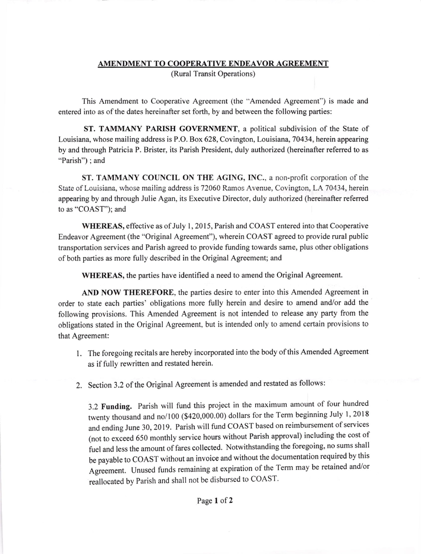# AMENDMENT TO COOPERATIVE ENDEAVOR AGREEMENT

(Rural Transit Operations)

This Amendment to Cooperative Agreement (the "Amended Agreement") is made and entered into as ofthe dates hereinafter set forth, by and between the following parties:

ST. TAMMANY PARISH GOVERNMENT, a political subdivision of the State of Louisiana, whose mailing address is P.O. Box 628, Covington, Louisiana, 70434, herein appearing by and through Patricia P. Brister, its Parish President, duly authorized (hereinafter referred to as "Parish"); and

ST. TAMMANY COUNCIL ON THE AGING, INC., a non-profit corporation of the State of Louisiana, whose mailing address is 72060 Ramos Avenue, Covington, LA 70434, herein appearing by and through Julie Agan, its Executive Director, duly authorized (hereinafter referred to as "COAST"); and

WHEREAS, effective as of July <sup>I</sup>, 2015, Parish and COAST entered into that Cooperative Endeavor Agreement (the "Original Agreement"), wherein COAST agreed to provide rural public transportation services and Parish agreed to provide funding towards same, plus other obligations of both parties as more fully described in the Original Agreement; and

WHEREAS, the parties have identified a need to amend the Original Agreement.

AND NOW THEREFORE, the parties desire to enter into this Amended Agreement in order to state each parties' obligations more fully herein and desire to amend and/or add the following provisions. This Amended Agreement is not intended to release any party from the obligations stated in the Original Agreement, but is intended only to amend certain provisions to that Agreement:

- l. The foregoing recitals are hereby incorporated into the body ofthis Amended Agreement as if fully rewritten and restated herein.
- 2. Section 3.2 of the Original Agreement is amended and restated as follows:

3.2 Funding. Parish wilt fund this project in the maximum amount of four hundred twenty thousand and no/100 (\$420,000.00) dollars for the Term beginning July 1, 2018 and ending June 30, 2019. Parish will fund COAST based on reimbursement of services (not to exceed 650 monthly service hours without Parish approval) including the cost of fuel and less the amount of fares collected. Notwithstanding the foregoing, no sums shall be payable to COAST without an invoice and without the documentation required by this Agreement. Unused funds remaining at expiration of the Term may be retained and/or reallocated by Parish and shall not be disbursed to COAST.